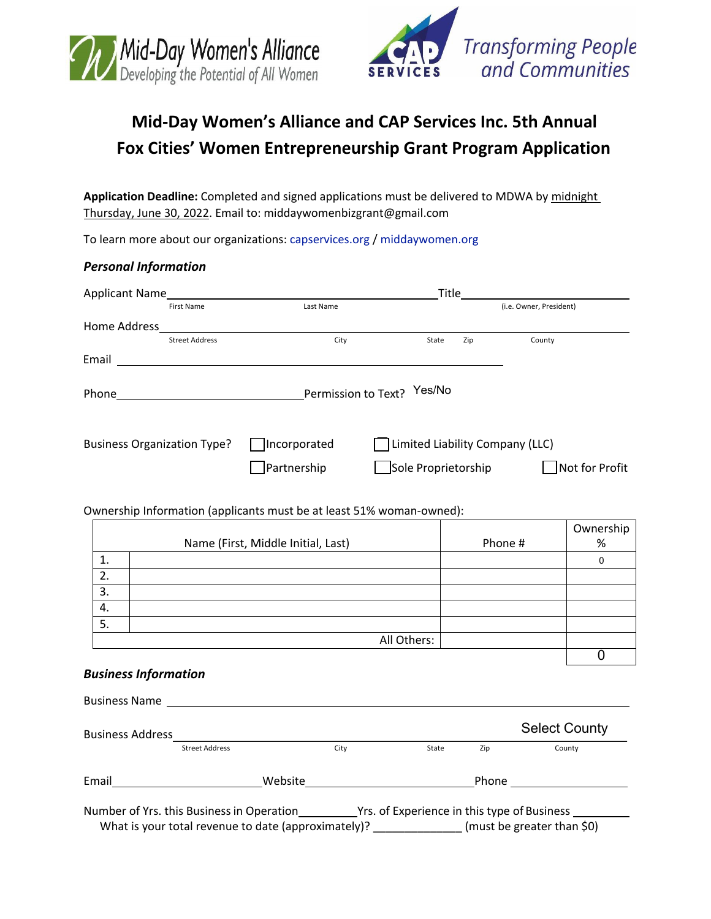



# **Mid-Day Women's Alliance and CAP Services Inc. 5th Annual Fox Cities' Women Entrepreneurship Grant Program Application**

**Application Deadline:** Completed and signed applications must be delivered to MDWA by midnight Thursday, June 30, 2022. Email to: middaywomenbizgrant@gmail.com

To learn more about our organizations: capservices.org / middaywomen.org

#### *Personal Information*

| Applicant Name                     |                                                                                                                   | Title                                                                |                     |                         |                                 |                |  |
|------------------------------------|-------------------------------------------------------------------------------------------------------------------|----------------------------------------------------------------------|---------------------|-------------------------|---------------------------------|----------------|--|
| <b>First Name</b>                  |                                                                                                                   | Last Name                                                            |                     | (i.e. Owner, President) |                                 |                |  |
|                                    | Home Address and the Manuson of the Manuson of the Manuson of the Manuson of the Manuson of the Manuson of the Ma |                                                                      |                     |                         |                                 |                |  |
|                                    | <b>Street Address</b>                                                                                             | City                                                                 | State               | Zip                     | County                          |                |  |
|                                    | Email <u>Communication</u>                                                                                        |                                                                      |                     |                         |                                 |                |  |
|                                    | Permission to Text? Yes/No                                                                                        |                                                                      |                     |                         |                                 |                |  |
| <b>Business Organization Type?</b> |                                                                                                                   | $\Box$ Incorporated                                                  |                     |                         | Limited Liability Company (LLC) |                |  |
|                                    |                                                                                                                   | Partnership                                                          | Sole Proprietorship |                         |                                 | Not for Profit |  |
|                                    |                                                                                                                   | Ownership Information (applicants must be at least 51% woman-owned): |                     |                         |                                 |                |  |
|                                    |                                                                                                                   |                                                                      |                     |                         |                                 | Ownership      |  |
|                                    |                                                                                                                   | Name (First, Middle Initial, Last)                                   |                     |                         | Phone #                         | %              |  |
| 1.                                 |                                                                                                                   |                                                                      |                     |                         |                                 | 0              |  |

| . ب |             |  |
|-----|-------------|--|
| 4.  |             |  |
| . ب |             |  |
|     | All Others: |  |
|     |             |  |

# *Business Information*

| <b>Business Name</b>    |                                           |      |                                             |     |                      |  |
|-------------------------|-------------------------------------------|------|---------------------------------------------|-----|----------------------|--|
| <b>Business Address</b> |                                           |      |                                             |     | <b>Select County</b> |  |
|                         | <b>Street Address</b>                     | City | State                                       | Zip | County               |  |
| Email                   | Website                                   |      | Phone                                       |     |                      |  |
|                         | Number of Yrs. this Business in Operation |      | Yrs. of Experience in this type of Business |     |                      |  |

What is your total revenue to date (approximately)? \_\_\_\_\_\_\_\_\_\_\_\_\_\_\_ (must be greater than \$0)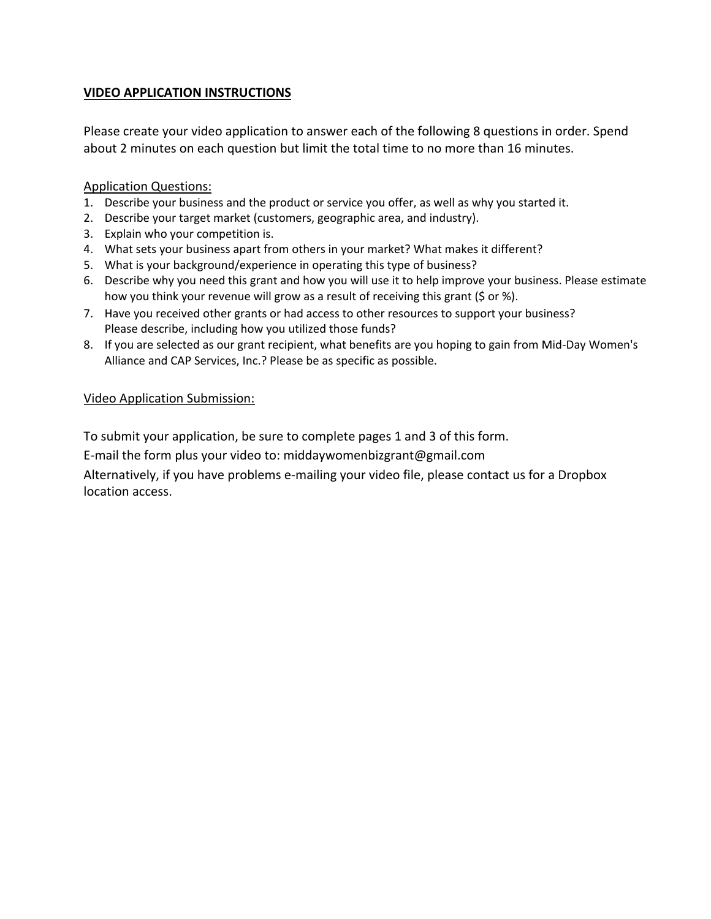# **VIDEO APPLICATION INSTRUCTIONS**

Please create your video application to answer each of the following 8 questions in order. Spend about 2 minutes on each question but limit the total time to no more than 16 minutes.

#### Application Questions:

- 1. Describe your business and the product or service you offer, as well as why you started it.
- 2. Describe your target market (customers, geographic area, and industry).
- 3. Explain who your competition is.
- 4. What sets your business apart from others in your market? What makes it different?
- 5. What is your background/experience in operating this type of business?
- 6. Describe why you need this grant and how you will use it to help improve your business. Please estimate how you think your revenue will grow as a result of receiving this grant (\$ or %).
- 7. Have you received other grants or had access to other resources to support your business? Please describe, including how you utilized those funds?
- 8. If you are selected as our grant recipient, what benefits are you hoping to gain from Mid-Day Women's Alliance and CAP Services, Inc.? Please be as specific as possible.

## Video Application Submission:

To submit your application, be sure to complete pages 1 and 3 of this form.

E-mail the form plus your video to: middaywomenbizgrant@gmail.com

Alternatively, if you have problems e-mailing your video file, please contact us for a Dropbox location access.